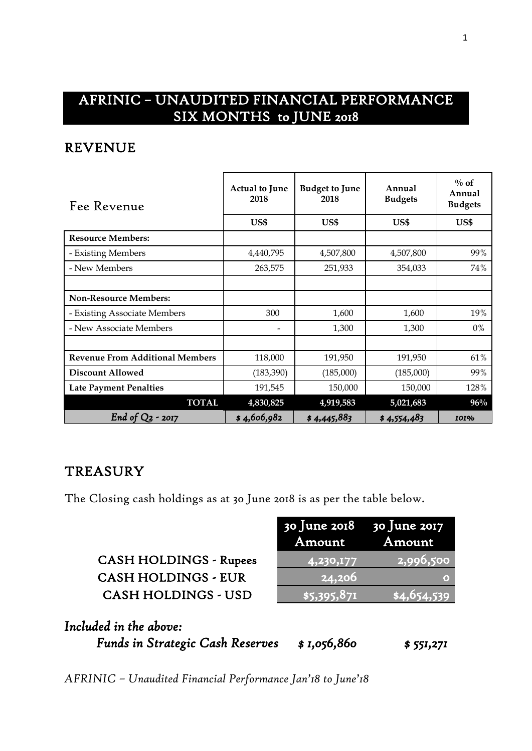# AFRINIC – UNAUDITED FINANCIAL PERFORMANCE SIX MONTHS to JUNE 2018

#### REVENUE

| Fee Revenue                            | <b>Actual to June</b><br>2018 | <b>Budget to June</b><br>2018 | Annual<br><b>Budgets</b> | $\%$ of<br>Annual<br><b>Budgets</b> |
|----------------------------------------|-------------------------------|-------------------------------|--------------------------|-------------------------------------|
|                                        | US\$                          | US\$                          | US\$                     | US\$                                |
| <b>Resource Members:</b>               |                               |                               |                          |                                     |
| - Existing Members                     | 4,440,795                     | 4,507,800                     | 4,507,800                | 99%                                 |
| - New Members                          | 263,575                       | 251,933                       | 354,033                  | 74%                                 |
|                                        |                               |                               |                          |                                     |
| <b>Non-Resource Members:</b>           |                               |                               |                          |                                     |
| - Existing Associate Members           | 300                           | 1,600                         | 1,600                    | 19%                                 |
| - New Associate Members                |                               | 1,300                         | 1,300                    | $0\%$                               |
|                                        |                               |                               |                          |                                     |
| <b>Revenue From Additional Members</b> | 118,000                       | 191,950                       | 191,950                  | 61%                                 |
| <b>Discount Allowed</b>                | (183, 390)                    | (185,000)                     | (185,000)                | 99%                                 |
| <b>Late Payment Penalties</b>          | 191,545                       | 150,000                       | 150,000                  | 128%                                |
| <b>TOTAL</b>                           | 4,830,825                     | 4,919,583                     | 5,021,683                | 96%                                 |
| End of $Q_2$<br>$-2017$                | \$4,606,982                   | \$4,445,883                   | \$4,554,483              | <b>IOI%</b>                         |

### **TREASURY**

The Closing cash holdings as at 30 June 2018 is as per the table below.

|                               | $30$ June 2018 $30$ June 2017<br>Amount | Amount             |
|-------------------------------|-----------------------------------------|--------------------|
| <b>CASH HOLDINGS - Rupees</b> | 4,230,177                               | $\sqrt{2,996,500}$ |
| <b>CASH HOLDINGS - EUR</b>    | 24,206                                  | ۰                  |
| <b>CASH HOLDINGS - USD</b>    | $\sqrt{5,395,871}$                      | 84,654,539         |
|                               |                                         |                    |

 $J<sub>11</sub>$ ne 2018

*Included in the above: Funds in Strategic Cash Reserves \$ 1,056,860 \$ 551,271*

*AFRINIC – Unaudited Financial Performance Jan'18 to June'18*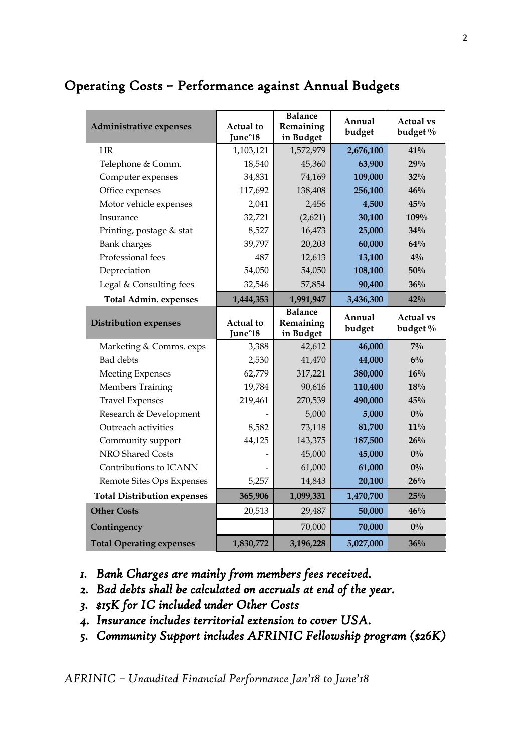# Operating Costs – Performance against Annual Budgets

| Administrative expenses            | Actual to<br>June'18        | <b>Balance</b><br>Remaining<br>in Budget | Annual<br>budget | <b>Actual vs</b><br>budget % |
|------------------------------------|-----------------------------|------------------------------------------|------------------|------------------------------|
| <b>HR</b>                          | 1,103,121                   | 1,572,979                                | 2,676,100        | $41\%$                       |
| Telephone & Comm.                  | 18,540                      | 45,360                                   | 63,900           | 29%                          |
| Computer expenses                  | 34,831                      | 74,169                                   | 109,000          | 32%                          |
| Office expenses                    | 117,692                     | 138,408                                  | 256,100          | 46%                          |
| Motor vehicle expenses             | 2,041                       | 2,456                                    | 4,500            | 45%                          |
| Insurance                          | 32,721                      | (2,621)                                  | 30,100           | 109%                         |
| Printing, postage & stat           | 8,527                       | 16,473                                   | 25,000           | 34%                          |
| <b>Bank</b> charges                | 39,797                      | 20,203                                   | 60,000           | 64%                          |
| Professional fees                  | 487                         | 12,613                                   | 13,100           | $4\%$                        |
| Depreciation                       | 54,050                      | 54,050                                   | 108,100          | 50%                          |
| Legal & Consulting fees            | 32,546                      | 57,854                                   | 90,400           | 36%                          |
| <b>Total Admin. expenses</b>       | 1,444,353                   | 1,991,947                                | 3,436,300        | 42%                          |
| <b>Distribution expenses</b>       | <b>Actual</b> to<br>June'18 | <b>Balance</b><br>Remaining<br>in Budget | Annual<br>budget | <b>Actual vs</b><br>budget % |
| Marketing & Comms. exps            | 3,388                       | 42,612                                   | 46,000           | $7\%$                        |
| <b>Bad</b> debts                   | 2,530                       | 41,470                                   | 44,000           | $6\%$                        |
| <b>Meeting Expenses</b>            | 62,779                      | 317,221                                  | 380,000          | 16%                          |
| <b>Members Training</b>            | 19,784                      | 90,616                                   | 110,400          | 18%                          |
| <b>Travel Expenses</b>             | 219,461                     | 270,539                                  | 490,000          | 45%                          |
| Research & Development             |                             | 5,000                                    | 5,000            | $0\%$                        |
| Outreach activities                | 8,582                       | 73,118                                   | 81,700           | $11\%$                       |
| Community support                  | 44,125                      | 143,375                                  | 187,500          | 26%                          |
| NRO Shared Costs                   |                             | 45,000                                   | 45,000           | $0\%$                        |
| Contributions to ICANN             |                             | 61,000                                   | 61,000           | $0\%$                        |
| Remote Sites Ops Expenses          | 5,257                       | 14,843                                   | 20,100           | $26\%$                       |
| <b>Total Distribution expenses</b> | 365,906                     | 1,099,331                                | 1,470,700        | 25%                          |
| <b>Other Costs</b>                 | 20,513                      | 29,487                                   | 50,000           | 46%                          |
|                                    |                             |                                          |                  |                              |
| Contingency                        |                             | 70,000                                   | 70,000           | $0\%$                        |

- *1. Bank Charges are mainly from members fees received.*
- *2. Bad debts shall be calculated on accruals at end of the year.*
- *3. \$15K for IC included under Other Costs*
- *4. Insurance includes territorial extension to cover USA.*
- *5. Community Support includes AFRINIC Fellowship program (\$26K)*

*AFRINIC – Unaudited Financial Performance Jan'18 to June'18*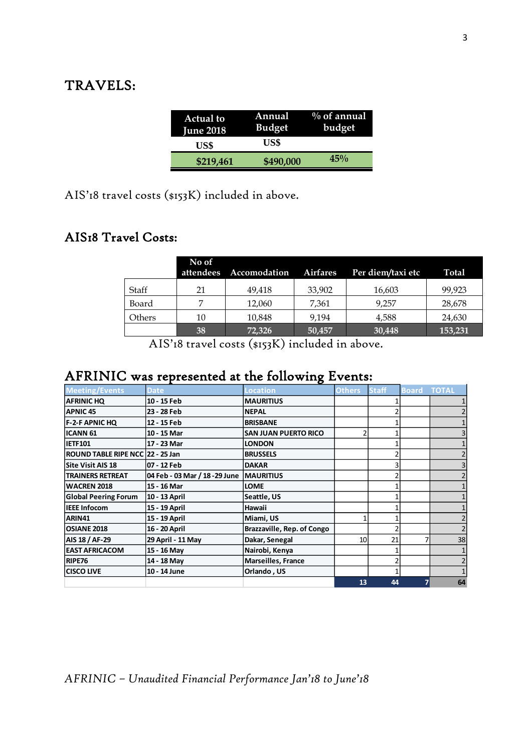## TRAVELS:

| <b>Actual to</b><br><b>June 2018</b> | Annual<br><b>Budget</b> | $\%$ of annual<br>budget |
|--------------------------------------|-------------------------|--------------------------|
| US\$                                 | US\$                    |                          |
| \$219,461                            | \$490,000               | 45%                      |

AIS'18 travel costs (\$153K) included in above.

#### AIS18 Travel Costs:

|        | No of<br>attendees | Accomodation | <b>Airfares</b> | Per diem/taxi etc | Total   |
|--------|--------------------|--------------|-----------------|-------------------|---------|
| Staff  | 21                 | 49,418       | 33,902          | 16,603            | 99,923  |
| Board  |                    | 12,060       | 7,361           | 9.257             | 28,678  |
| Others | 10                 | 10,848       | 9.194           | 4,588             | 24,630  |
|        | 38                 | 72,326       | 50,457          | 30,448            | 153,231 |

AIS'18 travel costs (\$153K) included in above.

# AFRINIC was represented at the following Events:

| <b>Meeting/Events</b>            | <b>Date</b>                    | <b>Location</b>             | <b>Others</b>  | <b>Staff</b> | <b>Board</b> | <b>TOTAL</b> |
|----------------------------------|--------------------------------|-----------------------------|----------------|--------------|--------------|--------------|
| <b>AFRINIC HQ</b>                | 10 - 15 Feb                    | <b>IMAURITIUS</b>           |                |              |              |              |
| <b>APNIC 45</b>                  | 23 - 28 Feb                    | <b>NEPAL</b>                |                |              |              |              |
| <b>F-2-F APNIC HQ</b>            | 12 - 15 Feb                    | <b>BRISBANE</b>             |                |              |              |              |
| <b>ICANN 61</b>                  | 10 - 15 Mar                    | <b>SAN JUAN PUERTO RICO</b> | $\overline{2}$ |              |              |              |
| <b>IETF101</b>                   | 17 - 23 Mar                    | <b>LONDON</b>               |                |              |              |              |
| ROUND TABLE RIPE NCC 22 - 25 Jan |                                | <b>BRUSSELS</b>             |                |              |              |              |
| <b>Site Visit AIS 18</b>         | 07 - 12 Feb                    | <b>DAKAR</b>                |                |              |              |              |
| <b>TRAINERS RETREAT</b>          | 04 Feb - 03 Mar / 18 - 29 June | <b>IMAURITIUS</b>           |                |              |              |              |
| <b>WACREN 2018</b>               | 15 - 16 Mar                    | <b>LOME</b>                 |                |              |              |              |
| <b>Global Peering Forum</b>      | 10 - 13 April                  | Seattle, US                 |                |              |              |              |
| <b>IEEE Infocom</b>              | 15 - 19 April                  | Hawaii                      |                |              |              |              |
| ARIN41                           | 15 - 19 April                  | Miami, US                   |                |              |              |              |
| <b>OSIANE 2018</b>               | 16 - 20 April                  | Brazzaville, Rep. of Congo  |                |              |              |              |
| AIS 18 / AF-29                   | 29 April - 11 May              | Dakar, Senegal              | 10             | 21           |              | 38           |
| <b>EAST AFRICACOM</b>            | 15 - 16 May                    | Nairobi, Kenya              |                |              |              |              |
| RIPE76                           | 14 - 18 May                    | <b>Marseilles, France</b>   |                |              |              |              |
| <b>CISCO LIVE</b>                | 10 - 14 June                   | Orlando, US                 |                |              |              |              |
|                                  |                                |                             | 13             | 44           |              | 64           |